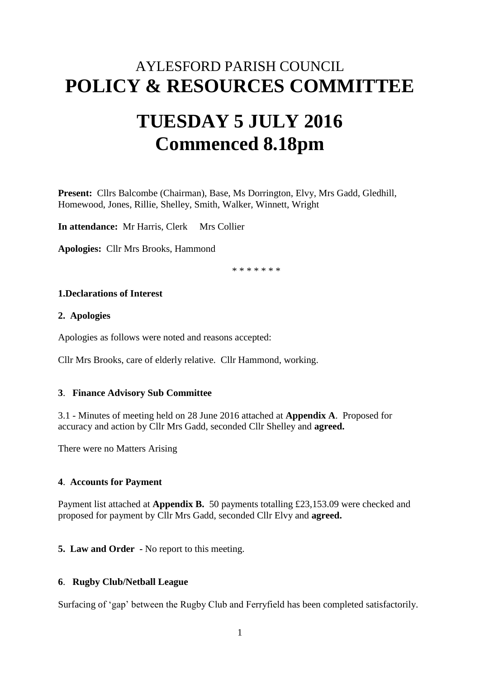# AYLESFORD PARISH COUNCIL **POLICY & RESOURCES COMMITTEE**

# **TUESDAY 5 JULY 2016 Commenced 8.18pm**

**Present:** Cllrs Balcombe (Chairman), Base, Ms Dorrington, Elvy, Mrs Gadd, Gledhill, Homewood, Jones, Rillie, Shelley, Smith, Walker, Winnett, Wright

**In attendance:** Mr Harris, Clerk Mrs Collier

**Apologies:** Cllr Mrs Brooks, Hammond

\* \* \* \* \* \* \*

# **1.Declarations of Interest**

#### **2. Apologies**

Apologies as follows were noted and reasons accepted:

Cllr Mrs Brooks, care of elderly relative. Cllr Hammond, working.

#### **3**. **Finance Advisory Sub Committee**

3.1 - Minutes of meeting held on 28 June 2016 attached at **Appendix A**. Proposed for accuracy and action by Cllr Mrs Gadd, seconded Cllr Shelley and **agreed.**

There were no Matters Arising

## **4**. **Accounts for Payment**

Payment list attached at **Appendix B.** 50 payments totalling £23,153.09 were checked and proposed for payment by Cllr Mrs Gadd, seconded Cllr Elvy and **agreed.**

**5. Law and Order -** No report to this meeting.

## **6**. **Rugby Club/Netball League**

Surfacing of 'gap' between the Rugby Club and Ferryfield has been completed satisfactorily.